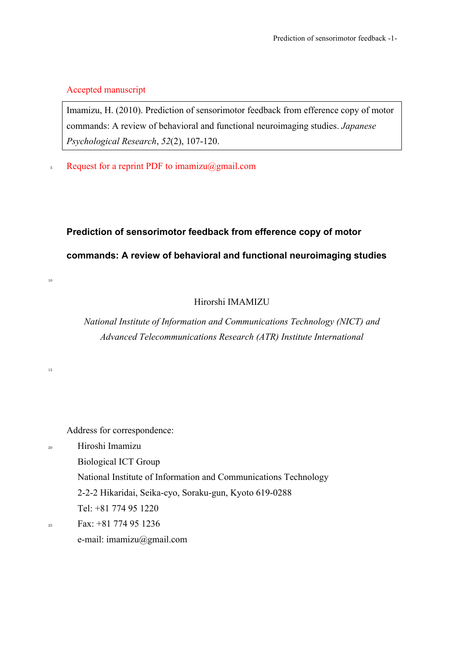## Accepted manuscript

Imamizu, H. (2010). Prediction of sensorimotor feedback from efference copy of motor commands: A review of behavioral and functional neuroimaging studies. *Japanese Psychological Research*, *52*(2), 107-120.

 $\sim$  Request for a reprint PDF to imamizu $(a)$ gmail.com

# **Prediction of sensorimotor feedback from efference copy of motor commands: A review of behavioral and functional neuroimaging studies**

## Hirorshi IMAMIZU

*National Institute of Information and Communications Technology (NICT) and Advanced Telecommunications Research (ATR) Institute International*

Address for correspondence:

<sup>20</sup> Hiroshi Imamizu

10

15

Biological ICT Group

National Institute of Information and Communications Technology

2-2-2 Hikaridai, Seika-cyo, Soraku-gun, Kyoto 619-0288

Tel: +81 774 95 1220

 $Fax: +81774951236$ e-mail: imamizu@gmail.com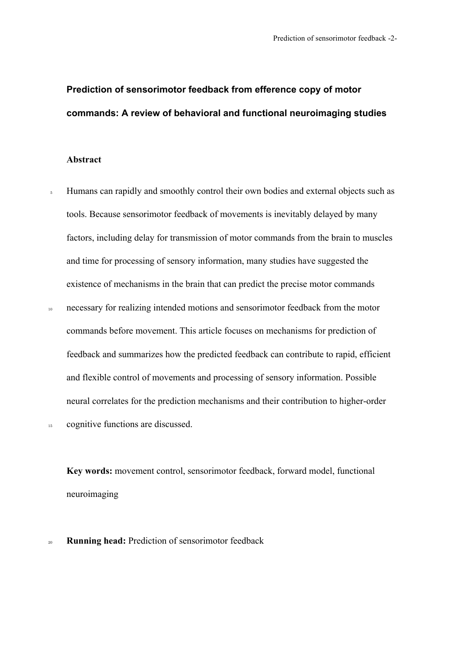## **Prediction of sensorimotor feedback from efference copy of motor commands: A review of behavioral and functional neuroimaging studies**

## **Abstract**

<sup>5</sup> Humans can rapidly and smoothly control their own bodies and external objects such as tools. Because sensorimotor feedback of movements is inevitably delayed by many factors, including delay for transmission of motor commands from the brain to muscles and time for processing of sensory information, many studies have suggested the existence of mechanisms in the brain that can predict the precise motor commands <sup>10</sup> necessary for realizing intended motions and sensorimotor feedback from the motor commands before movement. This article focuses on mechanisms for prediction of feedback and summarizes how the predicted feedback can contribute to rapid, efficient and flexible control of movements and processing of sensory information. Possible neural correlates for the prediction mechanisms and their contribution to higher-order

15 cognitive functions are discussed.

**Key words:** movement control, sensorimotor feedback, forward model, functional neuroimaging

<sup>20</sup> **Running head:** Prediction of sensorimotor feedback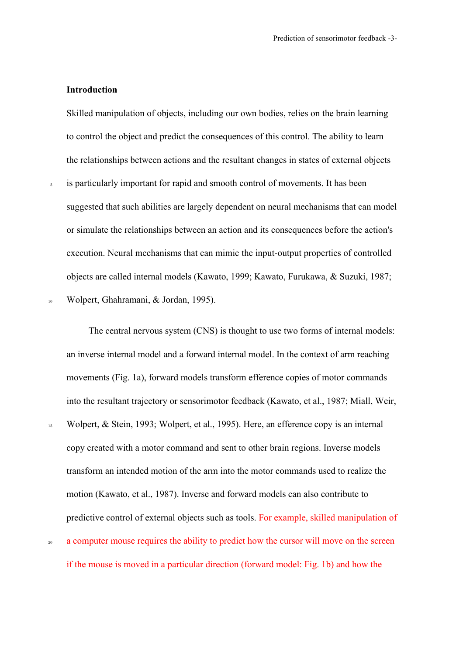## **Introduction**

Skilled manipulation of objects, including our own bodies, relies on the brain learning to control the object and predict the consequences of this control. The ability to learn the relationships between actions and the resultant changes in states of external objects

<sup>5</sup> is particularly important for rapid and smooth control of movements. It has been suggested that such abilities are largely dependent on neural mechanisms that can model or simulate the relationships between an action and its consequences before the action's execution. Neural mechanisms that can mimic the input-output properties of controlled objects are called internal models (Kawato, 1999; Kawato, Furukawa, & Suzuki, 1987; <sup>10</sup> Wolpert, Ghahramani, & Jordan, 1995).

The central nervous system (CNS) is thought to use two forms of internal models: an inverse internal model and a forward internal model. In the context of arm reaching movements (Fig. 1a), forward models transform efference copies of motor commands into the resultant trajectory or sensorimotor feedback (Kawato, et al., 1987; Miall, Weir, <sup>15</sup> Wolpert, & Stein, 1993; Wolpert, et al., 1995). Here, an efference copy is an internal copy created with a motor command and sent to other brain regions. Inverse models transform an intended motion of the arm into the motor commands used to realize the motion (Kawato, et al., 1987). Inverse and forward models can also contribute to predictive control of external objects such as tools. For example, skilled manipulation of <sup>20</sup> a computer mouse requires the ability to predict how the cursor will move on the screen

if the mouse is moved in a particular direction (forward model: Fig. 1b) and how the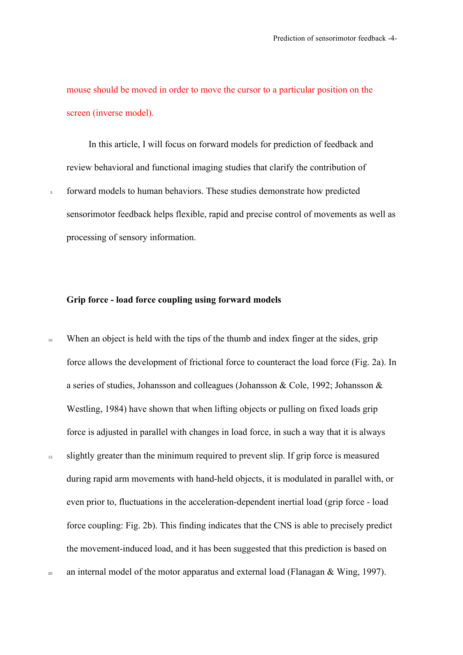mouse should be moved in order to move the cursor to a particular position on the screen (inverse model).

In this article, I will focus on forward models for prediction of feedback and review behavioral and functional imaging studies that clarify the contribution of forward models to human behaviors. These studies demonstrate how predicted sensorimotor feedback helps flexible, rapid and precise control of movements as well as processing of sensory information.

#### **Grip force - load force coupling using forward models**

<sup>10</sup> When an object is held with the tips of the thumb and index finger at the sides, grip force allows the development of frictional force to counteract the load force (Fig. 2a). In a series of studies, Johansson and colleagues (Johansson & Cole, 1992; Johansson & Westling, 1984) have shown that when lifting objects or pulling on fixed loads grip force is adjusted in parallel with changes in load force, in such a way that it is always <sup>15</sup> slightly greater than the minimum required to prevent slip. If grip force is measured during rapid arm movements with hand-held objects, it is modulated in parallel with, or even prior to, fluctuations in the acceleration-dependent inertial load (grip force - load force coupling: Fig. 2b). This finding indicates that the CNS is able to precisely predict the movement-induced load, and it has been suggested that this prediction is based on <sup>20</sup> an internal model of the motor apparatus and external load (Flanagan & Wing, 1997).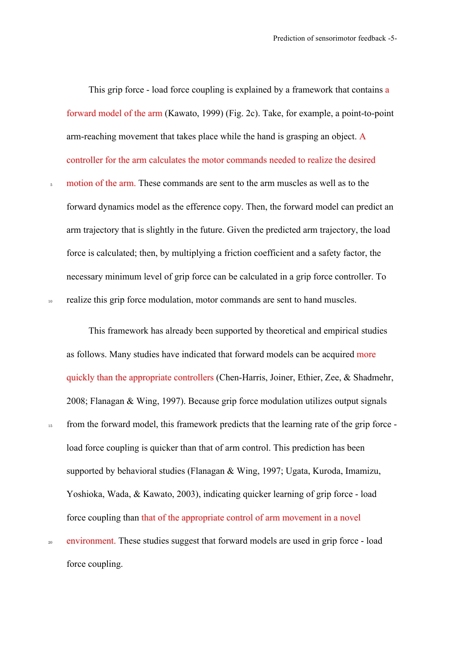This grip force - load force coupling is explained by a framework that contains a forward model of the arm (Kawato, 1999) (Fig. 2c). Take, for example, a point-to-point arm-reaching movement that takes place while the hand is grasping an object. A controller for the arm calculates the motor commands needed to realize the desired

<sub>5</sub> motion of the arm. These commands are sent to the arm muscles as well as to the forward dynamics model as the efference copy. Then, the forward model can predict an arm trajectory that is slightly in the future. Given the predicted arm trajectory, the load force is calculated; then, by multiplying a friction coefficient and a safety factor, the necessary minimum level of grip force can be calculated in a grip force controller. To <sup>10</sup> realize this grip force modulation, motor commands are sent to hand muscles.

This framework has already been supported by theoretical and empirical studies as follows. Many studies have indicated that forward models can be acquired more quickly than the appropriate controllers (Chen-Harris, Joiner, Ethier, Zee, & Shadmehr, 2008; Flanagan & Wing, 1997). Because grip force modulation utilizes output signals <sup>15</sup> from the forward model, this framework predicts that the learning rate of the grip force load force coupling is quicker than that of arm control. This prediction has been supported by behavioral studies (Flanagan & Wing, 1997; Ugata, Kuroda, Imamizu, Yoshioka, Wada, & Kawato, 2003), indicating quicker learning of grip force - load force coupling than that of the appropriate control of arm movement in a novel

<sup>20</sup> environment. These studies suggest that forward models are used in grip force - load force coupling.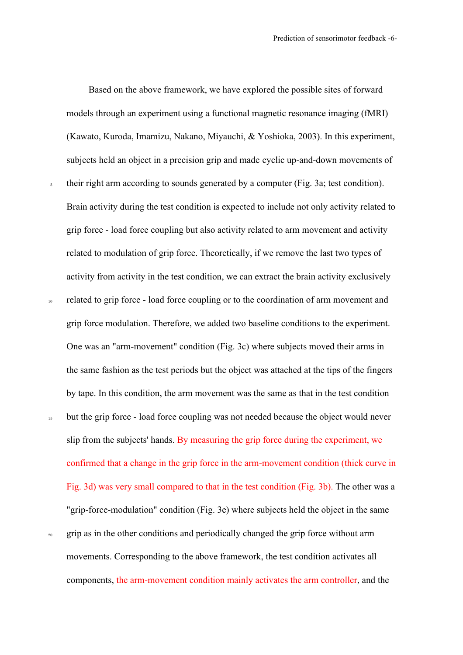Based on the above framework, we have explored the possible sites of forward models through an experiment using a functional magnetic resonance imaging (fMRI) (Kawato, Kuroda, Imamizu, Nakano, Miyauchi, & Yoshioka, 2003). In this experiment, subjects held an object in a precision grip and made cyclic up-and-down movements of <sup>5</sup> their right arm according to sounds generated by a computer (Fig. 3a; test condition). Brain activity during the test condition is expected to include not only activity related to grip force - load force coupling but also activity related to arm movement and activity related to modulation of grip force. Theoretically, if we remove the last two types of activity from activity in the test condition, we can extract the brain activity exclusively <sup>10</sup> related to grip force - load force coupling or to the coordination of arm movement and grip force modulation. Therefore, we added two baseline conditions to the experiment. One was an "arm-movement" condition (Fig. 3c) where subjects moved their arms in the same fashion as the test periods but the object was attached at the tips of the fingers by tape. In this condition, the arm movement was the same as that in the test condition <sup>15</sup> but the grip force - load force coupling was not needed because the object would never slip from the subjects' hands. By measuring the grip force during the experiment, we confirmed that a change in the grip force in the arm-movement condition (thick curve in Fig. 3d) was very small compared to that in the test condition (Fig. 3b). The other was a "grip-force-modulation" condition (Fig. 3e) where subjects held the object in the same <sup>20</sup> grip as in the other conditions and periodically changed the grip force without arm movements. Corresponding to the above framework, the test condition activates all components, the arm-movement condition mainly activates the arm controller, and the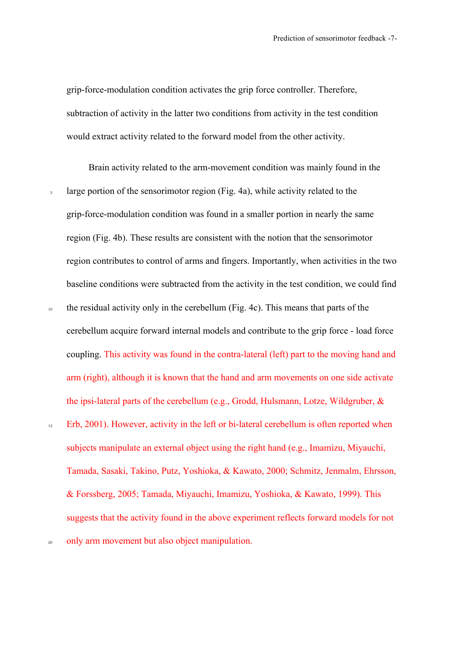grip-force-modulation condition activates the grip force controller. Therefore, subtraction of activity in the latter two conditions from activity in the test condition would extract activity related to the forward model from the other activity.

Brain activity related to the arm-movement condition was mainly found in the <sup>5</sup> large portion of the sensorimotor region (Fig. 4a), while activity related to the grip-force-modulation condition was found in a smaller portion in nearly the same region (Fig. 4b). These results are consistent with the notion that the sensorimotor region contributes to control of arms and fingers. Importantly, when activities in the two baseline conditions were subtracted from the activity in the test condition, we could find <sup>10</sup> the residual activity only in the cerebellum (Fig. 4c). This means that parts of the cerebellum acquire forward internal models and contribute to the grip force - load force coupling. This activity was found in the contra-lateral (left) part to the moving hand and arm (right), although it is known that the hand and arm movements on one side activate the ipsi-lateral parts of the cerebellum (e.g., Grodd, Hulsmann, Lotze, Wildgruber, & <sup>15</sup> Erb, 2001). However, activity in the left or bi-lateral cerebellum is often reported when subjects manipulate an external object using the right hand (e.g., Imamizu, Miyauchi, Tamada, Sasaki, Takino, Putz, Yoshioka, & Kawato, 2000; Schmitz, Jenmalm, Ehrsson, & Forssberg, 2005; Tamada, Miyauchi, Imamizu, Yoshioka, & Kawato, 1999). This suggests that the activity found in the above experiment reflects forward models for not <sup>20</sup> only arm movement but also object manipulation.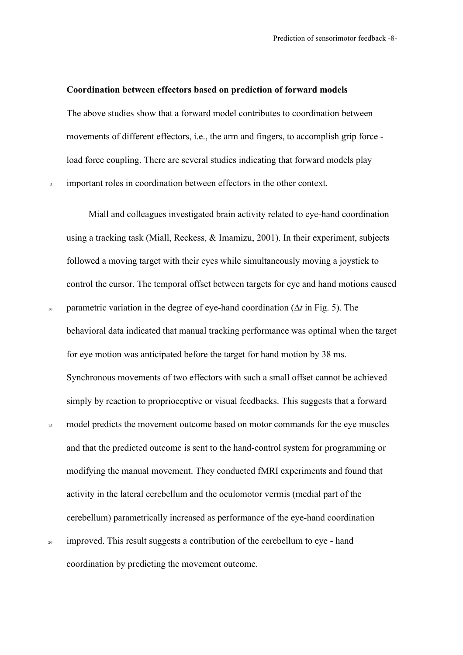#### **Coordination between effectors based on prediction of forward models**

The above studies show that a forward model contributes to coordination between movements of different effectors, i.e., the arm and fingers, to accomplish grip force load force coupling. There are several studies indicating that forward models play <sup>5</sup> important roles in coordination between effectors in the other context.

Miall and colleagues investigated brain activity related to eye-hand coordination using a tracking task (Miall, Reckess, & Imamizu, 2001). In their experiment, subjects followed a moving target with their eyes while simultaneously moving a joystick to control the cursor. The temporal offset between targets for eye and hand motions caused <sup>10</sup> parametric variation in the degree of eye-hand coordination (∆*t* in Fig. 5). The behavioral data indicated that manual tracking performance was optimal when the target for eye motion was anticipated before the target for hand motion by 38 ms. Synchronous movements of two effectors with such a small offset cannot be achieved simply by reaction to proprioceptive or visual feedbacks. This suggests that a forward <sup>15</sup> model predicts the movement outcome based on motor commands for the eye muscles and that the predicted outcome is sent to the hand-control system for programming or modifying the manual movement. They conducted fMRI experiments and found that activity in the lateral cerebellum and the oculomotor vermis (medial part of the cerebellum) parametrically increased as performance of the eye-hand coordination <sup>20</sup> improved. This result suggests a contribution of the cerebellum to eye - hand

coordination by predicting the movement outcome.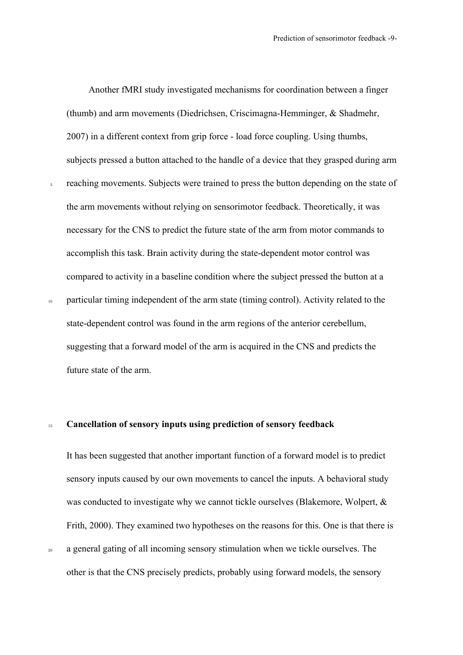Another fMRI study investigated mechanisms for coordination between a finger (thumb) and arm movements (Diedrichsen, Criscimagna-Hemminger, & Shadmehr, 2007) in a different context from grip force - load force coupling. Using thumbs, subjects pressed a button attached to the handle of a device that they grasped during arm <sub>5</sub> reaching movements. Subjects were trained to press the button depending on the state of the arm movements without relying on sensorimotor feedback. Theoretically, it was

necessary for the CNS to predict the future state of the arm from motor commands to accomplish this task. Brain activity during the state-dependent motor control was compared to activity in a baseline condition where the subject pressed the button at a

<sup>10</sup> particular timing independent of the arm state (timing control). Activity related to the state-dependent control was found in the arm regions of the anterior cerebellum, suggesting that a forward model of the arm is acquired in the CNS and predicts the future state of the arm.

#### <sup>15</sup> **Cancellation of sensory inputs using prediction of sensory feedback**

It has been suggested that another important function of a forward model is to predict sensory inputs caused by our own movements to cancel the inputs. A behavioral study was conducted to investigate why we cannot tickle ourselves (Blakemore, Wolpert, & Frith, 2000). They examined two hypotheses on the reasons for this. One is that there is <sup>20</sup> a general gating of all incoming sensory stimulation when we tickle ourselves. The

other is that the CNS precisely predicts, probably using forward models, the sensory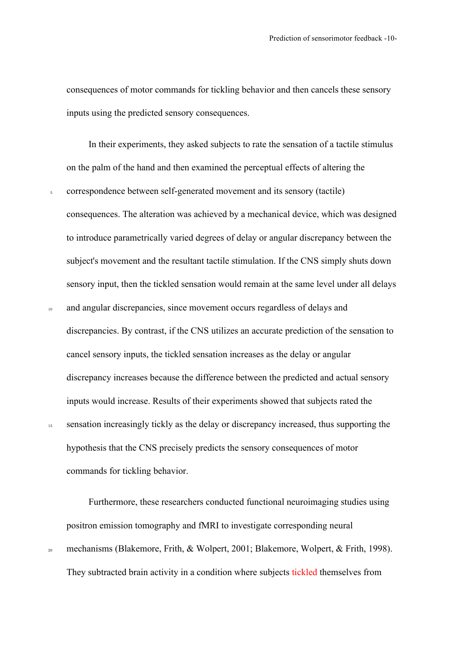consequences of motor commands for tickling behavior and then cancels these sensory inputs using the predicted sensory consequences.

In their experiments, they asked subjects to rate the sensation of a tactile stimulus on the palm of the hand and then examined the perceptual effects of altering the <sup>5</sup> correspondence between self-generated movement and its sensory (tactile) consequences. The alteration was achieved by a mechanical device, which was designed to introduce parametrically varied degrees of delay or angular discrepancy between the subject's movement and the resultant tactile stimulation. If the CNS simply shuts down sensory input, then the tickled sensation would remain at the same level under all delays <sup>10</sup> and angular discrepancies, since movement occurs regardless of delays and discrepancies. By contrast, if the CNS utilizes an accurate prediction of the sensation to cancel sensory inputs, the tickled sensation increases as the delay or angular discrepancy increases because the difference between the predicted and actual sensory inputs would increase. Results of their experiments showed that subjects rated the <sup>15</sup> sensation increasingly tickly as the delay or discrepancy increased, thus supporting the

hypothesis that the CNS precisely predicts the sensory consequences of motor commands for tickling behavior.

Furthermore, these researchers conducted functional neuroimaging studies using positron emission tomography and fMRI to investigate corresponding neural <sup>20</sup> mechanisms (Blakemore, Frith, & Wolpert, 2001; Blakemore, Wolpert, & Frith, 1998).

They subtracted brain activity in a condition where subjects tickled themselves from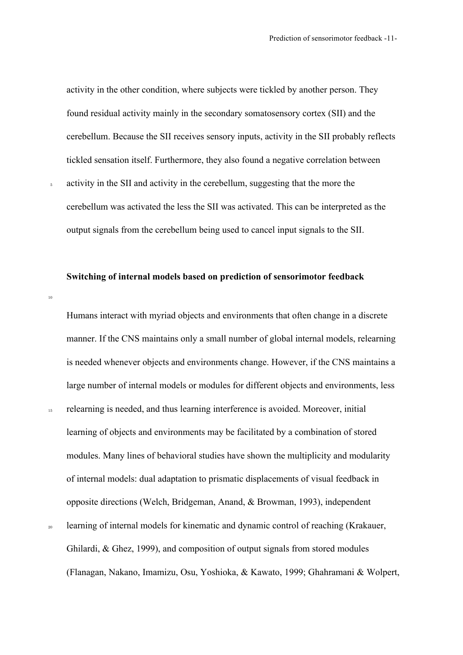activity in the other condition, where subjects were tickled by another person. They found residual activity mainly in the secondary somatosensory cortex (SII) and the cerebellum. Because the SII receives sensory inputs, activity in the SII probably reflects tickled sensation itself. Furthermore, they also found a negative correlation between

<sup>5</sup> activity in the SII and activity in the cerebellum, suggesting that the more the cerebellum was activated the less the SII was activated. This can be interpreted as the output signals from the cerebellum being used to cancel input signals to the SII.

## **Switching of internal models based on prediction of sensorimotor feedback**

 $10$ 

Humans interact with myriad objects and environments that often change in a discrete manner. If the CNS maintains only a small number of global internal models, relearning is needed whenever objects and environments change. However, if the CNS maintains a large number of internal models or modules for different objects and environments, less <sup>15</sup> relearning is needed, and thus learning interference is avoided. Moreover, initial learning of objects and environments may be facilitated by a combination of stored modules. Many lines of behavioral studies have shown the multiplicity and modularity of internal models: dual adaptation to prismatic displacements of visual feedback in opposite directions (Welch, Bridgeman, Anand, & Browman, 1993), independent learning of internal models for kinematic and dynamic control of reaching (Krakauer, Ghilardi, & Ghez, 1999), and composition of output signals from stored modules

(Flanagan, Nakano, Imamizu, Osu, Yoshioka, & Kawato, 1999; Ghahramani & Wolpert,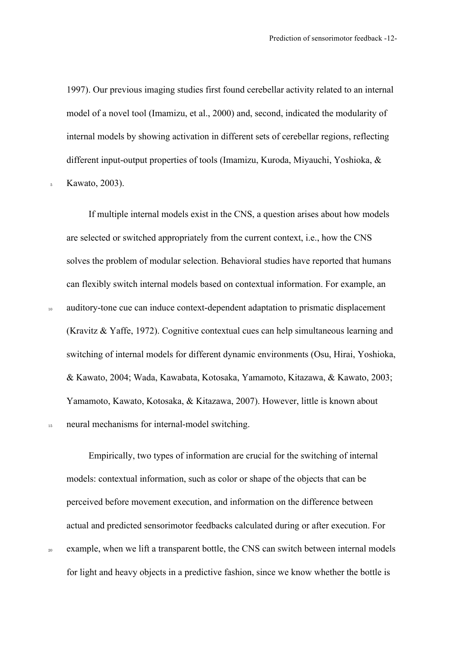1997). Our previous imaging studies first found cerebellar activity related to an internal model of a novel tool (Imamizu, et al., 2000) and, second, indicated the modularity of internal models by showing activation in different sets of cerebellar regions, reflecting different input-output properties of tools (Imamizu, Kuroda, Miyauchi, Yoshioka, &

<sup>5</sup> Kawato, 2003).

If multiple internal models exist in the CNS, a question arises about how models are selected or switched appropriately from the current context, i.e., how the CNS solves the problem of modular selection. Behavioral studies have reported that humans can flexibly switch internal models based on contextual information. For example, an <sup>10</sup> auditory-tone cue can induce context-dependent adaptation to prismatic displacement (Kravitz & Yaffe, 1972). Cognitive contextual cues can help simultaneous learning and switching of internal models for different dynamic environments (Osu, Hirai, Yoshioka, & Kawato, 2004; Wada, Kawabata, Kotosaka, Yamamoto, Kitazawa, & Kawato, 2003; Yamamoto, Kawato, Kotosaka, & Kitazawa, 2007). However, little is known about <sup>15</sup> neural mechanisms for internal-model switching.

Empirically, two types of information are crucial for the switching of internal models: contextual information, such as color or shape of the objects that can be perceived before movement execution, and information on the difference between actual and predicted sensorimotor feedbacks calculated during or after execution. For <sup>20</sup> example, when we lift a transparent bottle, the CNS can switch between internal models for light and heavy objects in a predictive fashion, since we know whether the bottle is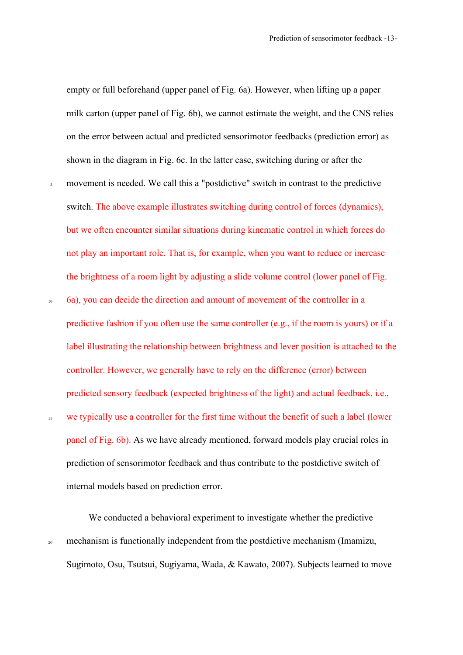empty or full beforehand (upper panel of Fig. 6a). However, when lifting up a paper milk carton (upper panel of Fig. 6b), we cannot estimate the weight, and the CNS relies on the error between actual and predicted sensorimotor feedbacks (prediction error) as shown in the diagram in Fig. 6c. In the latter case, switching during or after the

- <sup>5</sup> movement is needed. We call this a "postdictive" switch in contrast to the predictive switch. The above example illustrates switching during control of forces (dynamics), but we often encounter similar situations during kinematic control in which forces do not play an important role. That is, for example, when you want to reduce or increase the brightness of a room light by adjusting a slide volume control (lower panel of Fig.
- <sup>10</sup> 6a), you can decide the direction and amount of movement of the controller in a predictive fashion if you often use the same controller (e.g., if the room is yours) or if a label illustrating the relationship between brightness and lever position is attached to the controller. However, we generally have to rely on the difference (error) between predicted sensory feedback (expected brightness of the light) and actual feedback, i.e., <sup>15</sup> we typically use a controller for the first time without the benefit of such a label (lower panel of Fig. 6b). As we have already mentioned, forward models play crucial roles in prediction of sensorimotor feedback and thus contribute to the postdictive switch of internal models based on prediction error.

We conducted a behavioral experiment to investigate whether the predictive <sup>20</sup> mechanism is functionally independent from the postdictive mechanism (Imamizu, Sugimoto, Osu, Tsutsui, Sugiyama, Wada, & Kawato, 2007). Subjects learned to move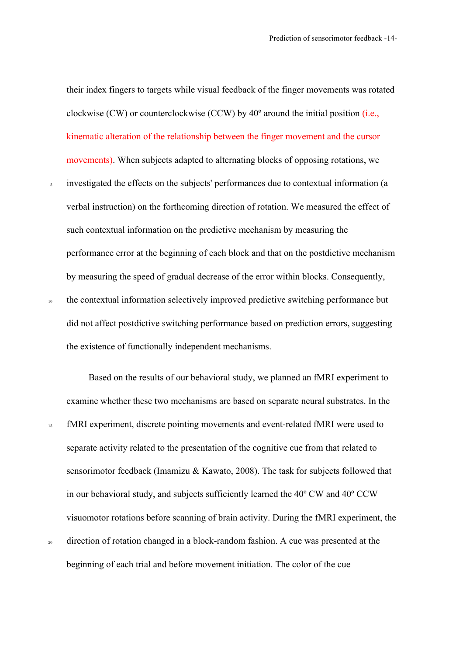their index fingers to targets while visual feedback of the finger movements was rotated clockwise (CW) or counterclockwise (CCW) by  $40^{\circ}$  around the initial position (i.e., kinematic alteration of the relationship between the finger movement and the cursor movements). When subjects adapted to alternating blocks of opposing rotations, we

<sup>5</sup> investigated the effects on the subjects' performances due to contextual information (a verbal instruction) on the forthcoming direction of rotation. We measured the effect of such contextual information on the predictive mechanism by measuring the performance error at the beginning of each block and that on the postdictive mechanism by measuring the speed of gradual decrease of the error within blocks. Consequently, <sup>10</sup> the contextual information selectively improved predictive switching performance but

did not affect postdictive switching performance based on prediction errors, suggesting the existence of functionally independent mechanisms.

Based on the results of our behavioral study, we planned an fMRI experiment to examine whether these two mechanisms are based on separate neural substrates. In the <sup>15</sup> fMRI experiment, discrete pointing movements and event-related fMRI were used to separate activity related to the presentation of the cognitive cue from that related to sensorimotor feedback (Imamizu & Kawato, 2008). The task for subjects followed that in our behavioral study, and subjects sufficiently learned the 40º CW and 40º CCW visuomotor rotations before scanning of brain activity. During the fMRI experiment, the <sup>20</sup> direction of rotation changed in a block-random fashion. A cue was presented at the beginning of each trial and before movement initiation. The color of the cue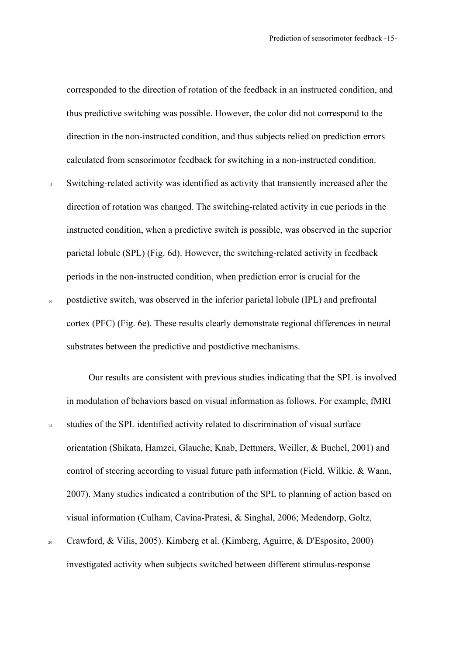corresponded to the direction of rotation of the feedback in an instructed condition, and thus predictive switching was possible. However, the color did not correspond to the direction in the non-instructed condition, and thus subjects relied on prediction errors calculated from sensorimotor feedback for switching in a non-instructed condition.

<sup>5</sup> Switching-related activity was identified as activity that transiently increased after the direction of rotation was changed. The switching-related activity in cue periods in the instructed condition, when a predictive switch is possible, was observed in the superior parietal lobule (SPL) (Fig. 6d). However, the switching-related activity in feedback periods in the non-instructed condition, when prediction error is crucial for the <sup>10</sup> postdictive switch, was observed in the inferior parietal lobule (IPL) and prefrontal cortex (PFC) (Fig. 6e). These results clearly demonstrate regional differences in neural substrates between the predictive and postdictive mechanisms.

Our results are consistent with previous studies indicating that the SPL is involved in modulation of behaviors based on visual information as follows. For example, fMRI <sup>15</sup> studies of the SPL identified activity related to discrimination of visual surface orientation (Shikata, Hamzei, Glauche, Knab, Dettmers, Weiller, & Buchel, 2001) and control of steering according to visual future path information (Field, Wilkie, & Wann, 2007). Many studies indicated a contribution of the SPL to planning of action based on visual information (Culham, Cavina-Pratesi, & Singhal, 2006; Medendorp, Goltz,

<sup>20</sup> Crawford, & Vilis, 2005). Kimberg et al. (Kimberg, Aguirre, & D'Esposito, 2000) investigated activity when subjects switched between different stimulus-response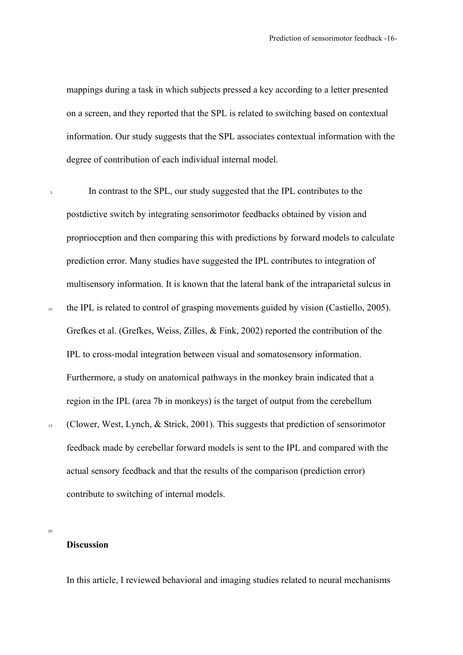mappings during a task in which subjects pressed a key according to a letter presented on a screen, and they reported that the SPL is related to switching based on contextual information. Our study suggests that the SPL associates contextual information with the degree of contribution of each individual internal model.

<sup>5</sup> In contrast to the SPL, our study suggested that the IPL contributes to the postdictive switch by integrating sensorimotor feedbacks obtained by vision and proprioception and then comparing this with predictions by forward models to calculate prediction error. Many studies have suggested the IPL contributes to integration of multisensory information. It is known that the lateral bank of the intraparietal sulcus in <sup>10</sup> the IPL is related to control of grasping movements guided by vision (Castiello, 2005). Grefkes et al. (Grefkes, Weiss, Zilles, & Fink, 2002) reported the contribution of the IPL to cross-modal integration between visual and somatosensory information. Furthermore, a study on anatomical pathways in the monkey brain indicated that a region in the IPL (area 7b in monkeys) is the target of output from the cerebellum <sup>15</sup> (Clower, West, Lynch, & Strick, 2001). This suggests that prediction of sensorimotor feedback made by cerebellar forward models is sent to the IPL and compared with the

actual sensory feedback and that the results of the comparison (prediction error) contribute to switching of internal models.

#### **Discussion**

20

In this article, I reviewed behavioral and imaging studies related to neural mechanisms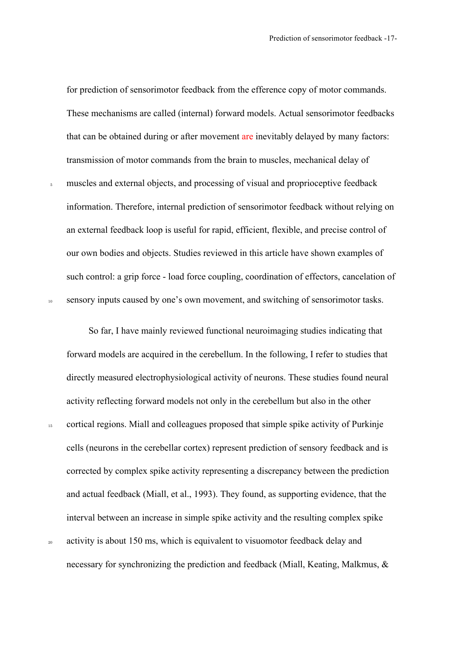for prediction of sensorimotor feedback from the efference copy of motor commands. These mechanisms are called (internal) forward models. Actual sensorimotor feedbacks that can be obtained during or after movement are inevitably delayed by many factors: transmission of motor commands from the brain to muscles, mechanical delay of

<sup>5</sup> muscles and external objects, and processing of visual and proprioceptive feedback information. Therefore, internal prediction of sensorimotor feedback without relying on an external feedback loop is useful for rapid, efficient, flexible, and precise control of our own bodies and objects. Studies reviewed in this article have shown examples of such control: a grip force - load force coupling, coordination of effectors, cancelation of 10 sensory inputs caused by one's own movement, and switching of sensorimotor tasks.

So far, I have mainly reviewed functional neuroimaging studies indicating that forward models are acquired in the cerebellum. In the following, I refer to studies that directly measured electrophysiological activity of neurons. These studies found neural activity reflecting forward models not only in the cerebellum but also in the other <sup>15</sup> cortical regions. Miall and colleagues proposed that simple spike activity of Purkinje cells (neurons in the cerebellar cortex) represent prediction of sensory feedback and is corrected by complex spike activity representing a discrepancy between the prediction and actual feedback (Miall, et al., 1993). They found, as supporting evidence, that the interval between an increase in simple spike activity and the resulting complex spike <sup>20</sup> activity is about 150 ms, which is equivalent to visuomotor feedback delay and

necessary for synchronizing the prediction and feedback (Miall, Keating, Malkmus, &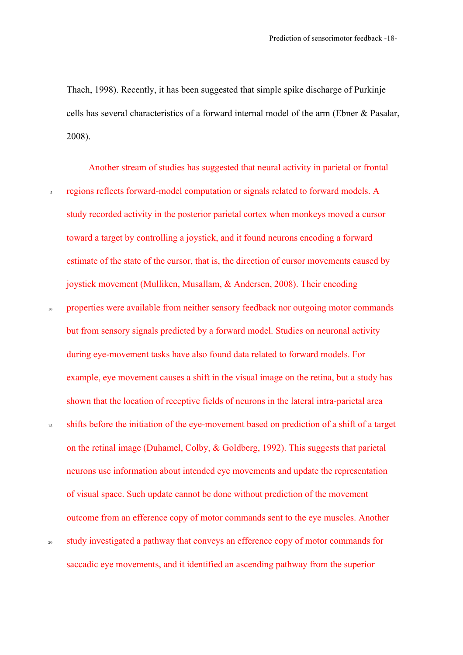Thach, 1998). Recently, it has been suggested that simple spike discharge of Purkinje cells has several characteristics of a forward internal model of the arm (Ebner & Pasalar, 2008).

Another stream of studies has suggested that neural activity in parietal or frontal <sup>5</sup> regions reflects forward-model computation or signals related to forward models. A study recorded activity in the posterior parietal cortex when monkeys moved a cursor toward a target by controlling a joystick, and it found neurons encoding a forward estimate of the state of the cursor, that is, the direction of cursor movements caused by joystick movement (Mulliken, Musallam, & Andersen, 2008). Their encoding 10 properties were available from neither sensory feedback nor outgoing motor commands but from sensory signals predicted by a forward model. Studies on neuronal activity during eye-movement tasks have also found data related to forward models. For example, eye movement causes a shift in the visual image on the retina, but a study has shown that the location of receptive fields of neurons in the lateral intra-parietal area <sup>15</sup> shifts before the initiation of the eye-movement based on prediction of a shift of a target on the retinal image (Duhamel, Colby, & Goldberg, 1992). This suggests that parietal neurons use information about intended eye movements and update the representation of visual space. Such update cannot be done without prediction of the movement outcome from an efference copy of motor commands sent to the eye muscles. Another <sup>20</sup> study investigated a pathway that conveys an efference copy of motor commands for saccadic eye movements, and it identified an ascending pathway from the superior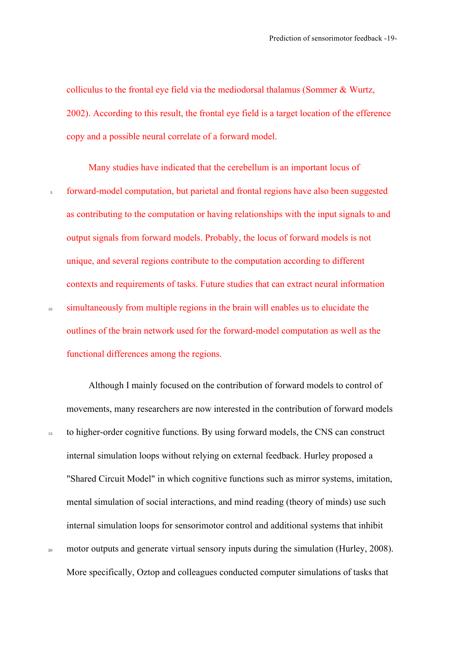colliculus to the frontal eye field via the mediodorsal thalamus (Sommer & Wurtz, 2002). According to this result, the frontal eye field is a target location of the efference copy and a possible neural correlate of a forward model.

Many studies have indicated that the cerebellum is an important locus of <sup>5</sup> forward-model computation, but parietal and frontal regions have also been suggested as contributing to the computation or having relationships with the input signals to and output signals from forward models. Probably, the locus of forward models is not unique, and several regions contribute to the computation according to different contexts and requirements of tasks. Future studies that can extract neural information <sup>10</sup> simultaneously from multiple regions in the brain will enables us to elucidate the outlines of the brain network used for the forward-model computation as well as the functional differences among the regions.

Although I mainly focused on the contribution of forward models to control of movements, many researchers are now interested in the contribution of forward models <sup>15</sup> to higher-order cognitive functions. By using forward models, the CNS can construct internal simulation loops without relying on external feedback. Hurley proposed a "Shared Circuit Model" in which cognitive functions such as mirror systems, imitation, mental simulation of social interactions, and mind reading (theory of minds) use such internal simulation loops for sensorimotor control and additional systems that inhibit <sup>20</sup> motor outputs and generate virtual sensory inputs during the simulation (Hurley, 2008).

More specifically, Oztop and colleagues conducted computer simulations of tasks that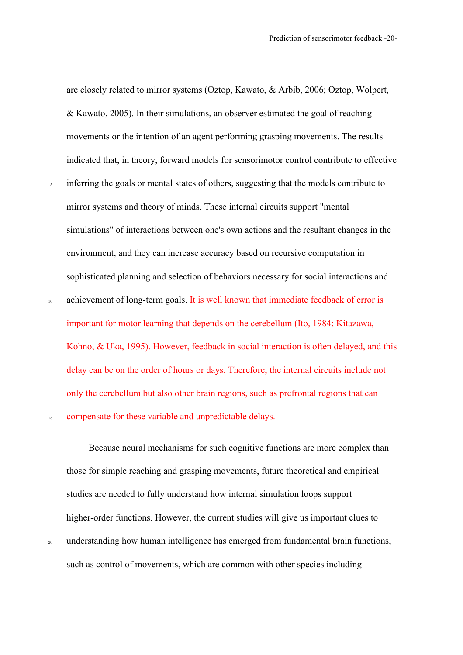are closely related to mirror systems (Oztop, Kawato, & Arbib, 2006; Oztop, Wolpert, & Kawato, 2005). In their simulations, an observer estimated the goal of reaching movements or the intention of an agent performing grasping movements. The results indicated that, in theory, forward models for sensorimotor control contribute to effective

- <sup>5</sup> inferring the goals or mental states of others, suggesting that the models contribute to mirror systems and theory of minds. These internal circuits support "mental simulations" of interactions between one's own actions and the resultant changes in the environment, and they can increase accuracy based on recursive computation in sophisticated planning and selection of behaviors necessary for social interactions and
- 10 achievement of long-term goals. It is well known that immediate feedback of error is important for motor learning that depends on the cerebellum (Ito, 1984; Kitazawa, Kohno, & Uka, 1995). However, feedback in social interaction is often delayed, and this delay can be on the order of hours or days. Therefore, the internal circuits include not only the cerebellum but also other brain regions, such as prefrontal regions that can 15 compensate for these variable and unpredictable delays.

Because neural mechanisms for such cognitive functions are more complex than those for simple reaching and grasping movements, future theoretical and empirical studies are needed to fully understand how internal simulation loops support higher-order functions. However, the current studies will give us important clues to <sup>20</sup> understanding how human intelligence has emerged from fundamental brain functions, such as control of movements, which are common with other species including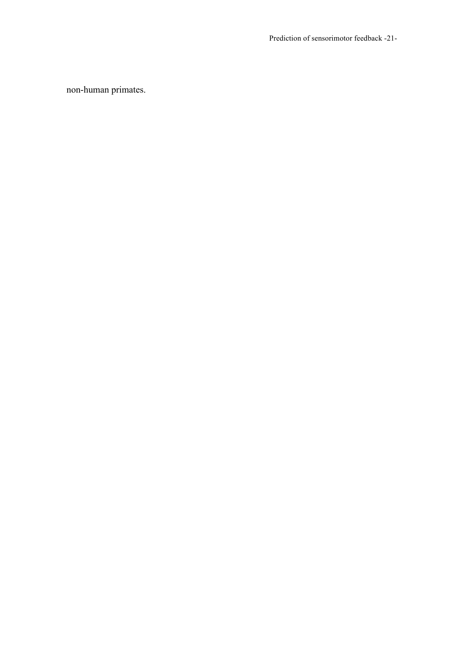Prediction of sensorimotor feedback -21-

non-human primates.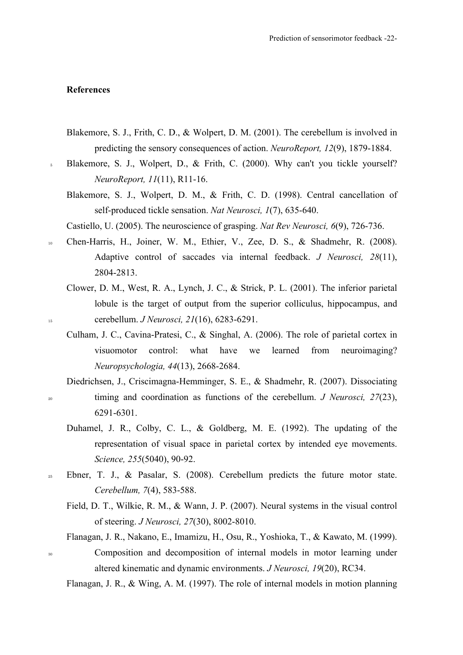## **References**

- Blakemore, S. J., Frith, C. D., & Wolpert, D. M. (2001). The cerebellum is involved in predicting the sensory consequences of action. *NeuroReport, 12*(9), 1879-1884.
- <sup>5</sup> Blakemore, S. J., Wolpert, D., & Frith, C. (2000). Why can't you tickle yourself? *NeuroReport, 11*(11), R11-16.
	- Blakemore, S. J., Wolpert, D. M., & Frith, C. D. (1998). Central cancellation of self-produced tickle sensation. *Nat Neurosci, 1*(7), 635-640.
	- Castiello, U. (2005). The neuroscience of grasping. *Nat Rev Neurosci, 6*(9), 726-736.
- <sup>10</sup> Chen-Harris, H., Joiner, W. M., Ethier, V., Zee, D. S., & Shadmehr, R. (2008). Adaptive control of saccades via internal feedback. *J Neurosci, 28*(11), 2804-2813.
- Clower, D. M., West, R. A., Lynch, J. C., & Strick, P. L. (2001). The inferior parietal lobule is the target of output from the superior colliculus, hippocampus, and <sup>15</sup> cerebellum. *J Neurosci, 21*(16), 6283-6291.
	- Culham, J. C., Cavina-Pratesi, C., & Singhal, A. (2006). The role of parietal cortex in visuomotor control: what have we learned from neuroimaging? *Neuropsychologia, 44*(13), 2668-2684.
- Diedrichsen, J., Criscimagna-Hemminger, S. E., & Shadmehr, R. (2007). Dissociating <sup>20</sup> timing and coordination as functions of the cerebellum. *J Neurosci, 27*(23), 6291-6301.
	- Duhamel, J. R., Colby, C. L., & Goldberg, M. E. (1992). The updating of the representation of visual space in parietal cortex by intended eye movements. *Science, 255*(5040), 90-92.
- <sup>25</sup> Ebner, T. J., & Pasalar, S. (2008). Cerebellum predicts the future motor state. *Cerebellum, 7*(4), 583-588.
	- Field, D. T., Wilkie, R. M., & Wann, J. P. (2007). Neural systems in the visual control of steering. *J Neurosci, 27*(30), 8002-8010.
- Flanagan, J. R., Nakano, E., Imamizu, H., Osu, R., Yoshioka, T., & Kawato, M. (1999). <sup>30</sup> Composition and decomposition of internal models in motor learning under altered kinematic and dynamic environments. *J Neurosci, 19*(20), RC34.

Flanagan, J. R., & Wing, A. M. (1997). The role of internal models in motion planning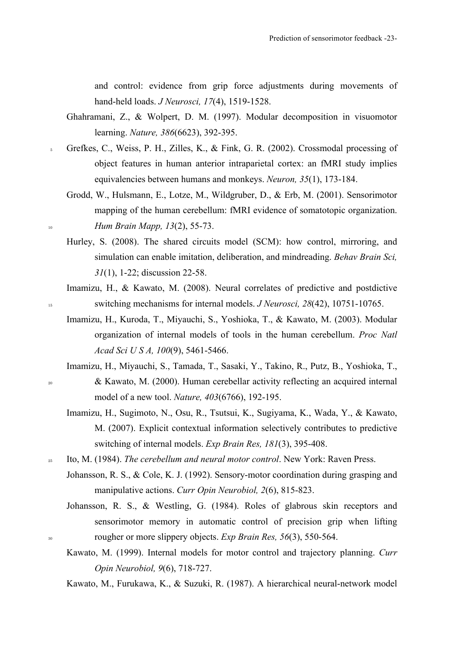and control: evidence from grip force adjustments during movements of hand-held loads. *J Neurosci, 17*(4), 1519-1528.

- Ghahramani, Z., & Wolpert, D. M. (1997). Modular decomposition in visuomotor learning. *Nature, 386*(6623), 392-395.
- <sup>5</sup> Grefkes, C., Weiss, P. H., Zilles, K., & Fink, G. R. (2002). Crossmodal processing of object features in human anterior intraparietal cortex: an fMRI study implies equivalencies between humans and monkeys. *Neuron, 35*(1), 173-184.
- Grodd, W., Hulsmann, E., Lotze, M., Wildgruber, D., & Erb, M. (2001). Sensorimotor mapping of the human cerebellum: fMRI evidence of somatotopic organization. <sup>10</sup> *Hum Brain Mapp, 13*(2), 55-73.
	- Hurley, S. (2008). The shared circuits model (SCM): how control, mirroring, and simulation can enable imitation, deliberation, and mindreading. *Behav Brain Sci, 31*(1), 1-22; discussion 22-58.
- Imamizu, H., & Kawato, M. (2008). Neural correlates of predictive and postdictive <sup>15</sup> switching mechanisms for internal models. *J Neurosci, 28*(42), 10751-10765.
	- Imamizu, H., Kuroda, T., Miyauchi, S., Yoshioka, T., & Kawato, M. (2003). Modular organization of internal models of tools in the human cerebellum. *Proc Natl Acad Sci U S A, 100*(9), 5461-5466.
- Imamizu, H., Miyauchi, S., Tamada, T., Sasaki, Y., Takino, R., Putz, B., Yoshioka, T., <sup>20</sup> & Kawato, M. (2000). Human cerebellar activity reflecting an acquired internal model of a new tool. *Nature, 403*(6766), 192-195.
	- Imamizu, H., Sugimoto, N., Osu, R., Tsutsui, K., Sugiyama, K., Wada, Y., & Kawato, M. (2007). Explicit contextual information selectively contributes to predictive switching of internal models. *Exp Brain Res, 181*(3), 395-408.
- <sup>25</sup> Ito, M. (1984). *The cerebellum and neural motor control*. New York: Raven Press.
	- Johansson, R. S., & Cole, K. J. (1992). Sensory-motor coordination during grasping and manipulative actions. *Curr Opin Neurobiol, 2*(6), 815-823.
- Johansson, R. S., & Westling, G. (1984). Roles of glabrous skin receptors and sensorimotor memory in automatic control of precision grip when lifting <sup>30</sup> rougher or more slippery objects. *Exp Brain Res, 56*(3), 550-564.
	- Kawato, M. (1999). Internal models for motor control and trajectory planning. *Curr Opin Neurobiol, 9*(6), 718-727.

Kawato, M., Furukawa, K., & Suzuki, R. (1987). A hierarchical neural-network model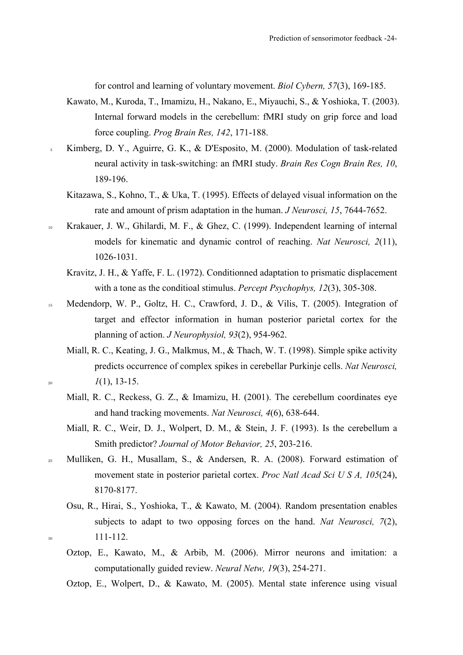for control and learning of voluntary movement. *Biol Cybern, 57*(3), 169-185.

- Kawato, M., Kuroda, T., Imamizu, H., Nakano, E., Miyauchi, S., & Yoshioka, T. (2003). Internal forward models in the cerebellum: fMRI study on grip force and load force coupling. *Prog Brain Res, 142*, 171-188.
- <sup>5</sup> Kimberg, D. Y., Aguirre, G. K., & D'Esposito, M. (2000). Modulation of task-related neural activity in task-switching: an fMRI study. *Brain Res Cogn Brain Res, 10*, 189-196.
	- Kitazawa, S., Kohno, T., & Uka, T. (1995). Effects of delayed visual information on the rate and amount of prism adaptation in the human. *J Neurosci, 15*, 7644-7652.
- <sup>10</sup> Krakauer, J. W., Ghilardi, M. F., & Ghez, C. (1999). Independent learning of internal models for kinematic and dynamic control of reaching. *Nat Neurosci, 2*(11), 1026-1031.
	- Kravitz, J. H., & Yaffe, F. L. (1972). Conditionned adaptation to prismatic displacement with a tone as the conditioal stimulus. *Percept Psychophys, 12*(3), 305-308.
- 15 Medendorp, W. P., Goltz, H. C., Crawford, J. D., & Vilis, T. (2005). Integration of target and effector information in human posterior parietal cortex for the planning of action. *J Neurophysiol, 93*(2), 954-962.
- Miall, R. C., Keating, J. G., Malkmus, M., & Thach, W. T. (1998). Simple spike activity predicts occurrence of complex spikes in cerebellar Purkinje cells. *Nat Neurosci,*   $l(1), 13-15.$ 
	- Miall, R. C., Reckess, G. Z., & Imamizu, H. (2001). The cerebellum coordinates eye and hand tracking movements. *Nat Neurosci, 4*(6), 638-644.
	- Miall, R. C., Weir, D. J., Wolpert, D. M., & Stein, J. F. (1993). Is the cerebellum a Smith predictor? *Journal of Motor Behavior, 25*, 203-216.
- <sup>25</sup> Mulliken, G. H., Musallam, S., & Andersen, R. A. (2008). Forward estimation of movement state in posterior parietal cortex. *Proc Natl Acad Sci U S A, 105*(24), 8170-8177.
- Osu, R., Hirai, S., Yoshioka, T., & Kawato, M. (2004). Random presentation enables subjects to adapt to two opposing forces on the hand. *Nat Neurosci, 7*(2),  $30 \t 111-112.$ 
	- Oztop, E., Kawato, M., & Arbib, M. (2006). Mirror neurons and imitation: a computationally guided review. *Neural Netw, 19*(3), 254-271.
	- Oztop, E., Wolpert, D., & Kawato, M. (2005). Mental state inference using visual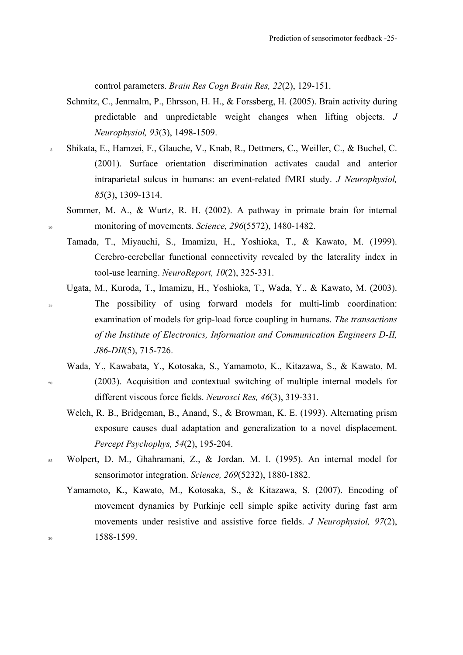control parameters. *Brain Res Cogn Brain Res, 22*(2), 129-151.

- Schmitz, C., Jenmalm, P., Ehrsson, H. H., & Forssberg, H. (2005). Brain activity during predictable and unpredictable weight changes when lifting objects. *J Neurophysiol, 93*(3), 1498-1509.
- <sup>5</sup> Shikata, E., Hamzei, F., Glauche, V., Knab, R., Dettmers, C., Weiller, C., & Buchel, C. (2001). Surface orientation discrimination activates caudal and anterior intraparietal sulcus in humans: an event-related fMRI study. *J Neurophysiol, 85*(3), 1309-1314.
- Sommer, M. A., & Wurtz, R. H. (2002). A pathway in primate brain for internal <sup>10</sup> monitoring of movements. *Science, 296*(5572), 1480-1482.
	- Tamada, T., Miyauchi, S., Imamizu, H., Yoshioka, T., & Kawato, M. (1999). Cerebro-cerebellar functional connectivity revealed by the laterality index in tool-use learning. *NeuroReport, 10*(2), 325-331.
- Ugata, M., Kuroda, T., Imamizu, H., Yoshioka, T., Wada, Y., & Kawato, M. (2003). <sup>15</sup> The possibility of using forward models for multi-limb coordination: examination of models for grip-load force coupling in humans. *The transactions of the Institute of Electronics, Information and Communication Engineers D-II, J86-DII*(5), 715-726.
- Wada, Y., Kawabata, Y., Kotosaka, S., Yamamoto, K., Kitazawa, S., & Kawato, M. <sup>20</sup> (2003). Acquisition and contextual switching of multiple internal models for different viscous force fields. *Neurosci Res, 46*(3), 319-331.
	- Welch, R. B., Bridgeman, B., Anand, S., & Browman, K. E. (1993). Alternating prism exposure causes dual adaptation and generalization to a novel displacement. *Percept Psychophys, 54*(2), 195-204.
- <sup>25</sup> Wolpert, D. M., Ghahramani, Z., & Jordan, M. I. (1995). An internal model for sensorimotor integration. *Science, 269*(5232), 1880-1882.
- Yamamoto, K., Kawato, M., Kotosaka, S., & Kitazawa, S. (2007). Encoding of movement dynamics by Purkinje cell simple spike activity during fast arm movements under resistive and assistive force fields. *J Neurophysiol, 97*(2), <sup>30</sup> 1588-1599.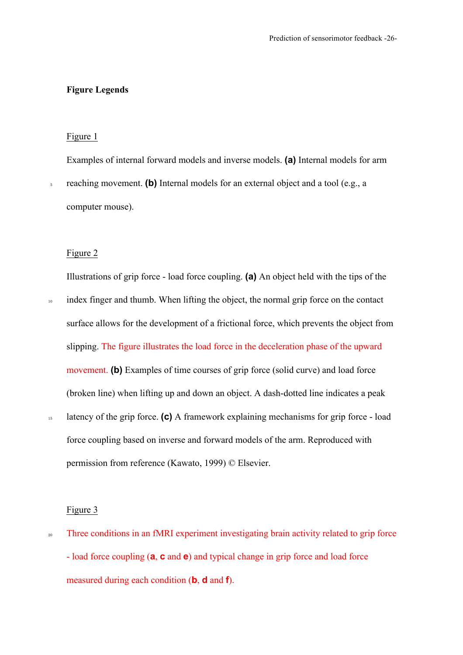## **Figure Legends**

#### Figure 1

Examples of internal forward models and inverse models. **(a)** Internal models for arm

<sup>5</sup> reaching movement. **(b)** Internal models for an external object and a tool (e.g., a computer mouse).

#### Figure 2

Illustrations of grip force - load force coupling. **(a)** An object held with the tips of the

<sup>10</sup> index finger and thumb. When lifting the object, the normal grip force on the contact surface allows for the development of a frictional force, which prevents the object from slipping. The figure illustrates the load force in the deceleration phase of the upward movement. **(b)** Examples of time courses of grip force (solid curve) and load force (broken line) when lifting up and down an object. A dash-dotted line indicates a peak <sup>15</sup> latency of the grip force. **(c)** A framework explaining mechanisms for grip force - load force coupling based on inverse and forward models of the arm. Reproduced with

permission from reference (Kawato, 1999) © Elsevier.

#### Figure 3

<sup>20</sup> Three conditions in an fMRI experiment investigating brain activity related to grip force - load force coupling (**a**, **c** and **e**) and typical change in grip force and load force measured during each condition (**b**, **d** and **f**).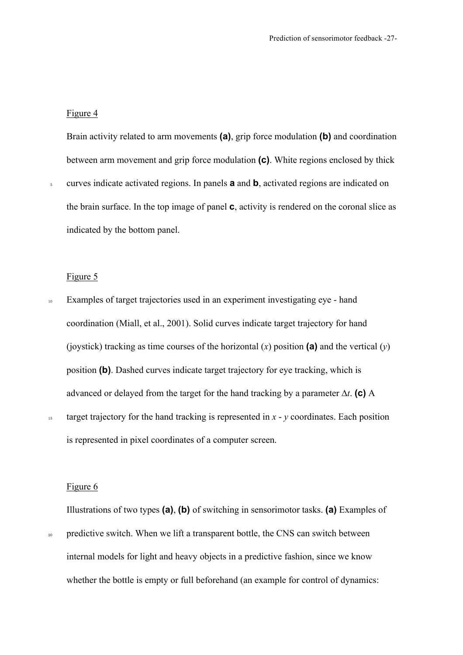#### Figure 4

Brain activity related to arm movements **(a)**, grip force modulation **(b)** and coordination between arm movement and grip force modulation **(c)**. White regions enclosed by thick

<sup>5</sup> curves indicate activated regions. In panels **a** and **b**, activated regions are indicated on the brain surface. In the top image of panel **c**, activity is rendered on the coronal slice as indicated by the bottom panel.

## Figure 5

- <sup>10</sup> Examples of target trajectories used in an experiment investigating eye hand coordination (Miall, et al., 2001). Solid curves indicate target trajectory for hand (joystick) tracking as time courses of the horizontal (*x*) position **(a)** and the vertical (*y*) position **(b)**. Dashed curves indicate target trajectory for eye tracking, which is advanced or delayed from the target for the hand tracking by a parameter ∆*t*. **(c)** A
- <sup>15</sup> target trajectory for the hand tracking is represented in *x y* coordinates. Each position is represented in pixel coordinates of a computer screen.

#### Figure 6

Illustrations of two types **(a)**, **(b)** of switching in sensorimotor tasks. **(a)** Examples of

<sup>20</sup> predictive switch. When we lift a transparent bottle, the CNS can switch between internal models for light and heavy objects in a predictive fashion, since we know whether the bottle is empty or full beforehand (an example for control of dynamics: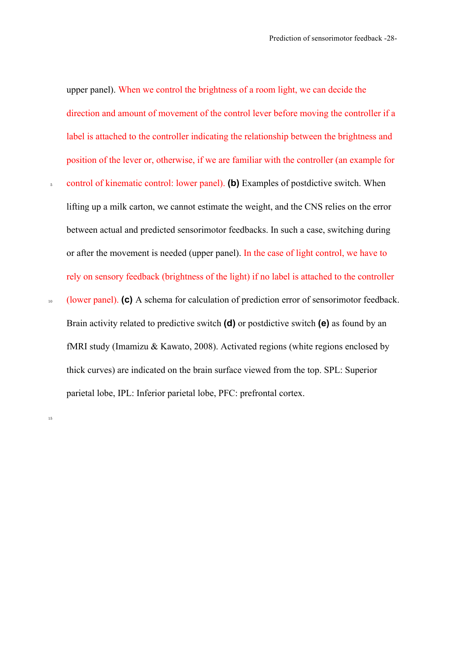upper panel). When we control the brightness of a room light, we can decide the direction and amount of movement of the control lever before moving the controller if a label is attached to the controller indicating the relationship between the brightness and position of the lever or, otherwise, if we are familiar with the controller (an example for

- <sup>5</sup> control of kinematic control: lower panel). **(b)** Examples of postdictive switch. When lifting up a milk carton, we cannot estimate the weight, and the CNS relies on the error between actual and predicted sensorimotor feedbacks. In such a case, switching during or after the movement is needed (upper panel). In the case of light control, we have to rely on sensory feedback (brightness of the light) if no label is attached to the controller
- <sup>10</sup> (lower panel). **(c)** A schema for calculation of prediction error of sensorimotor feedback. Brain activity related to predictive switch **(d)** or postdictive switch **(e)** as found by an fMRI study (Imamizu & Kawato, 2008). Activated regions (white regions enclosed by thick curves) are indicated on the brain surface viewed from the top. SPL: Superior parietal lobe, IPL: Inferior parietal lobe, PFC: prefrontal cortex.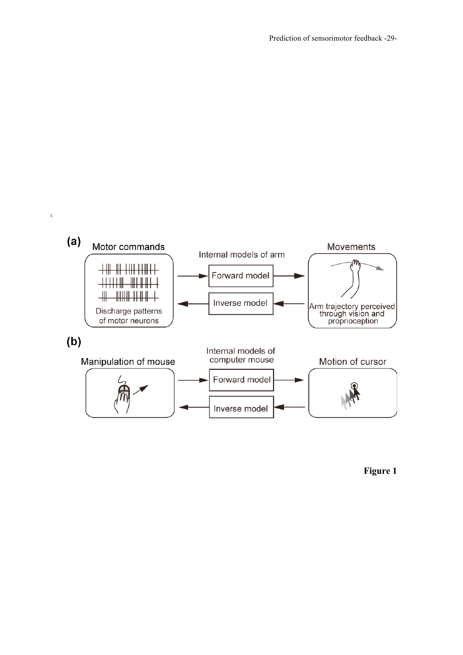

**Figure 1**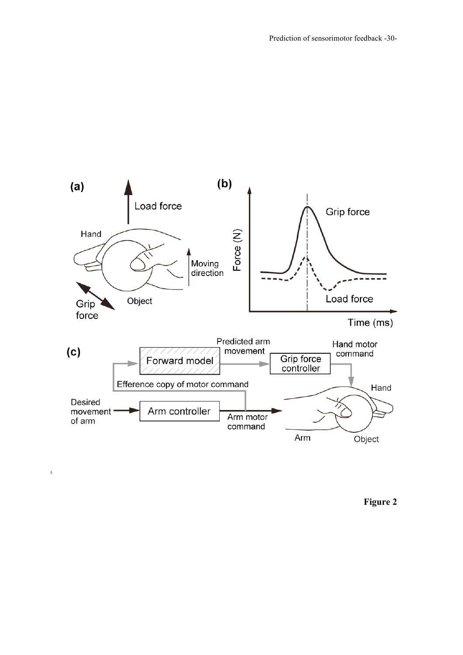

**Figure 2**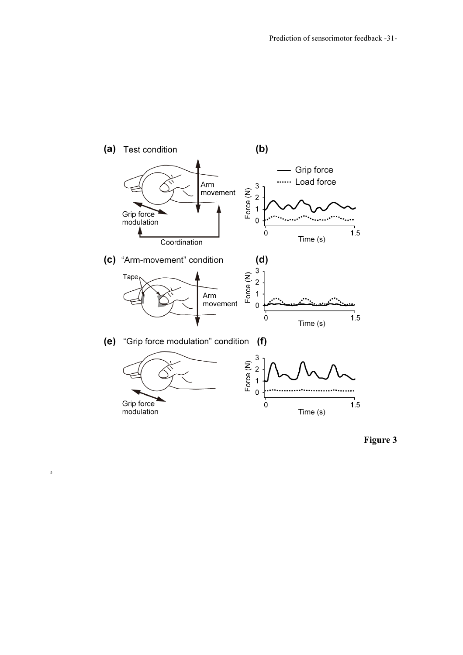

**Figure 3**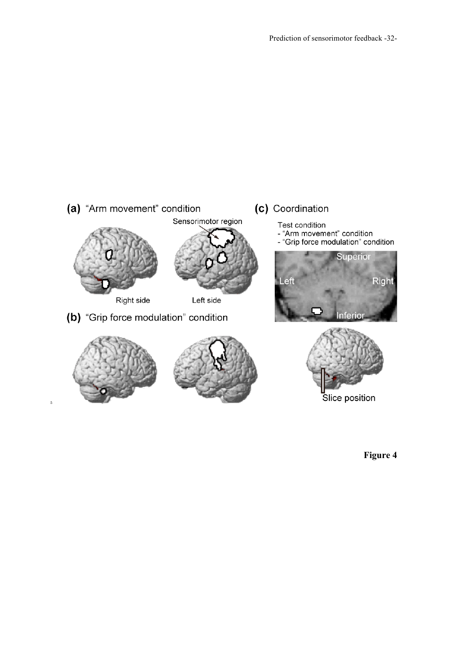

**Figure 4**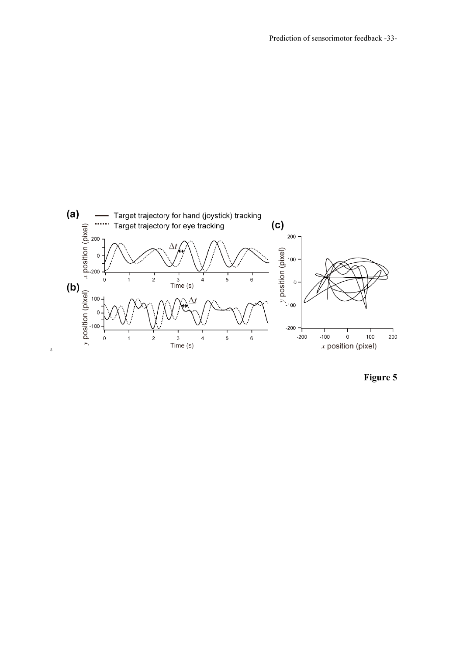

**Figure 5**